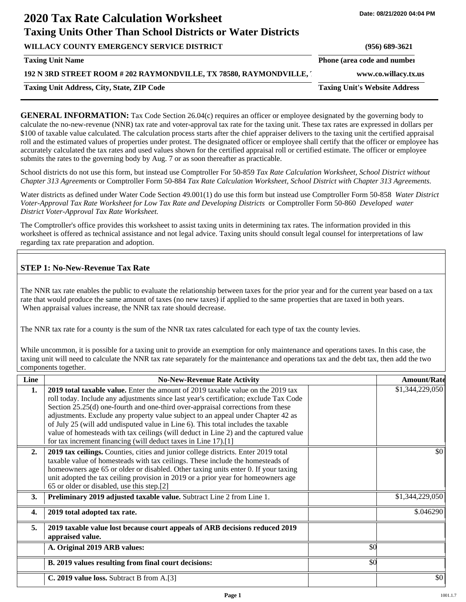# **2020 Tax Rate Calculation Worksheet Taxing Units Other Than School Districts or Water Districts**

| WILLACY COUNTY EMERGENCY SERVICE DISTRICT                         | $(956)$ 689-3621                     |
|-------------------------------------------------------------------|--------------------------------------|
| <b>Taxing Unit Name</b>                                           | Phone (area code and number          |
| 192 N 3RD STREET ROOM # 202 RAYMONDVILLE, TX 78580, RAYMONDVILLE, | www.co.willacy.tx.us                 |
| <b>Taxing Unit Address, City, State, ZIP Code</b>                 | <b>Taxing Unit's Website Address</b> |

**GENERAL INFORMATION:** Tax Code Section 26.04(c) requires an officer or employee designated by the governing body to calculate the no-new-revenue (NNR) tax rate and voter-approval tax rate for the taxing unit. These tax rates are expressed in dollars per \$100 of taxable value calculated. The calculation process starts after the chief appraiser delivers to the taxing unit the certified appraisal roll and the estimated values of properties under protest. The designated officer or employee shall certify that the officer or employee has accurately calculated the tax rates and used values shown for the certified appraisal roll or certified estimate. The officer or employee submits the rates to the governing body by Aug. 7 or as soon thereafter as practicable.

School districts do not use this form, but instead use Comptroller For 50-859 *Tax Rate Calculation Worksheet, School District without Chapter 313 Agreements* or Comptroller Form 50-884 *Tax Rate Calculation Worksheet, School District with Chapter 313 Agreements.*

Water districts as defined under Water Code Section 49.001(1) do use this form but instead use Comptroller Form 50-858 *Water District Voter-Approval Tax Rate Worksheet for Low Tax Rate and Developing Districts* or Comptroller Form 50-860 *Developed water District Voter-Approval Tax Rate Worksheet.*

The Comptroller's office provides this worksheet to assist taxing units in determining tax rates. The information provided in this worksheet is offered as technical assistance and not legal advice. Taxing units should consult legal counsel for interpretations of law regarding tax rate preparation and adoption.

# **STEP 1: No-New-Revenue Tax Rate**

The NNR tax rate enables the public to evaluate the relationship between taxes for the prior year and for the current year based on a tax rate that would produce the same amount of taxes (no new taxes) if applied to the same properties that are taxed in both years. When appraisal values increase, the NNR tax rate should decrease.

The NNR tax rate for a county is the sum of the NNR tax rates calculated for each type of tax the county levies.

While uncommon, it is possible for a taxing unit to provide an exemption for only maintenance and operations taxes. In this case, the taxing unit will need to calculate the NNR tax rate separately for the maintenance and operations tax and the debt tax, then add the two components together.

| Line             | <b>No-New-Revenue Rate Activity</b>                                                                                                                                                                                                                                                                                                                                                                                                                                                                                                                                                             |     | <b>Amount/Rate</b> |
|------------------|-------------------------------------------------------------------------------------------------------------------------------------------------------------------------------------------------------------------------------------------------------------------------------------------------------------------------------------------------------------------------------------------------------------------------------------------------------------------------------------------------------------------------------------------------------------------------------------------------|-----|--------------------|
| 1.               | 2019 total taxable value. Enter the amount of 2019 taxable value on the 2019 tax<br>roll today. Include any adjustments since last year's certification; exclude Tax Code<br>Section 25.25(d) one-fourth and one-third over-appraisal corrections from these<br>adjustments. Exclude any property value subject to an appeal under Chapter 42 as<br>of July 25 (will add undisputed value in Line 6). This total includes the taxable<br>value of homesteads with tax ceilings (will deduct in Line 2) and the captured value<br>for tax increment financing (will deduct taxes in Line 17).[1] |     | \$1,344,229,050    |
| 2.               | 2019 tax ceilings. Counties, cities and junior college districts. Enter 2019 total<br>taxable value of homesteads with tax ceilings. These include the homesteads of<br>homeowners age 65 or older or disabled. Other taxing units enter 0. If your taxing<br>unit adopted the tax ceiling provision in 2019 or a prior year for homeowners age<br>65 or older or disabled, use this step.[2]                                                                                                                                                                                                   |     | \$0                |
| 3.               | Preliminary 2019 adjusted taxable value. Subtract Line 2 from Line 1.                                                                                                                                                                                                                                                                                                                                                                                                                                                                                                                           |     | \$1,344,229,050    |
| $\overline{4}$ . | 2019 total adopted tax rate.                                                                                                                                                                                                                                                                                                                                                                                                                                                                                                                                                                    |     | \$.046290          |
| 5.               | 2019 taxable value lost because court appeals of ARB decisions reduced 2019<br>appraised value.                                                                                                                                                                                                                                                                                                                                                                                                                                                                                                 |     |                    |
|                  | A. Original 2019 ARB values:                                                                                                                                                                                                                                                                                                                                                                                                                                                                                                                                                                    | \$0 |                    |
|                  | B. 2019 values resulting from final court decisions:                                                                                                                                                                                                                                                                                                                                                                                                                                                                                                                                            | \$0 |                    |
|                  | C. 2019 value loss. Subtract B from A.[3]                                                                                                                                                                                                                                                                                                                                                                                                                                                                                                                                                       |     | \$0                |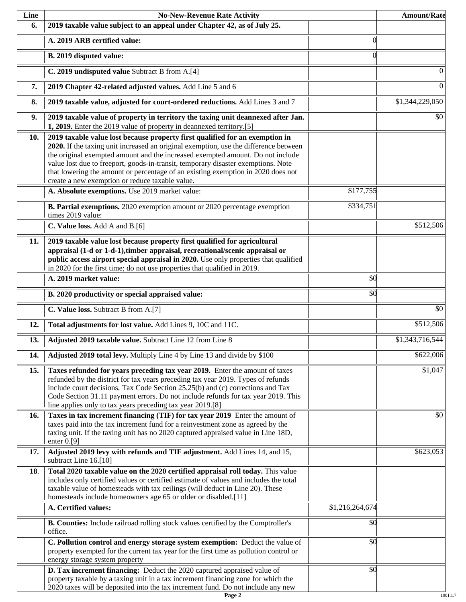| Line | <b>No-New-Revenue Rate Activity</b>                                                                                                                                                                                                                                                                                                                                                                                                                                                |                 | <b>Amount/Rate</b> |
|------|------------------------------------------------------------------------------------------------------------------------------------------------------------------------------------------------------------------------------------------------------------------------------------------------------------------------------------------------------------------------------------------------------------------------------------------------------------------------------------|-----------------|--------------------|
| 6.   | 2019 taxable value subject to an appeal under Chapter 42, as of July 25.                                                                                                                                                                                                                                                                                                                                                                                                           |                 |                    |
|      | A. 2019 ARB certified value:                                                                                                                                                                                                                                                                                                                                                                                                                                                       | $\theta$        |                    |
|      | B. 2019 disputed value:                                                                                                                                                                                                                                                                                                                                                                                                                                                            | $\Omega$        |                    |
|      | C. 2019 undisputed value Subtract B from A.[4]                                                                                                                                                                                                                                                                                                                                                                                                                                     |                 | $\theta$           |
| 7.   | 2019 Chapter 42-related adjusted values. Add Line 5 and 6                                                                                                                                                                                                                                                                                                                                                                                                                          |                 | $\overline{0}$     |
| 8.   | 2019 taxable value, adjusted for court-ordered reductions. Add Lines 3 and 7                                                                                                                                                                                                                                                                                                                                                                                                       |                 | \$1,344,229,050    |
| 9.   | 2019 taxable value of property in territory the taxing unit deannexed after Jan.<br>1, 2019. Enter the 2019 value of property in deannexed territory.[5]                                                                                                                                                                                                                                                                                                                           |                 | \$0                |
| 10.  | 2019 taxable value lost because property first qualified for an exemption in<br>2020. If the taxing unit increased an original exemption, use the difference between<br>the original exempted amount and the increased exempted amount. Do not include<br>value lost due to freeport, goods-in-transit, temporary disaster exemptions. Note<br>that lowering the amount or percentage of an existing exemption in 2020 does not<br>create a new exemption or reduce taxable value. |                 |                    |
|      | A. Absolute exemptions. Use 2019 market value:                                                                                                                                                                                                                                                                                                                                                                                                                                     | \$177,755       |                    |
|      | B. Partial exemptions. 2020 exemption amount or 2020 percentage exemption<br>times 2019 value:                                                                                                                                                                                                                                                                                                                                                                                     | \$334,751       |                    |
|      | C. Value loss. Add A and B.[6]                                                                                                                                                                                                                                                                                                                                                                                                                                                     |                 | \$512,506          |
| 11.  | 2019 taxable value lost because property first qualified for agricultural<br>appraisal (1-d or 1-d-1), timber appraisal, recreational/scenic appraisal or<br>public access airport special appraisal in 2020. Use only properties that qualified<br>in 2020 for the first time; do not use properties that qualified in 2019.                                                                                                                                                      |                 |                    |
|      | A. 2019 market value:                                                                                                                                                                                                                                                                                                                                                                                                                                                              | \$0             |                    |
|      | B. 2020 productivity or special appraised value:                                                                                                                                                                                                                                                                                                                                                                                                                                   | \$0             |                    |
|      | C. Value loss. Subtract B from A.[7]                                                                                                                                                                                                                                                                                                                                                                                                                                               |                 | $\overline{50}$    |
| 12.  | Total adjustments for lost value. Add Lines 9, 10C and 11C.                                                                                                                                                                                                                                                                                                                                                                                                                        |                 | \$512,506          |
| 13.  | Adjusted 2019 taxable value. Subtract Line 12 from Line 8                                                                                                                                                                                                                                                                                                                                                                                                                          |                 | \$1,343,716,544    |
| 14.  | Adjusted 2019 total levy. Multiply Line 4 by Line 13 and divide by \$100                                                                                                                                                                                                                                                                                                                                                                                                           |                 | \$622,006          |
| 15.  | Taxes refunded for years preceding tax year 2019. Enter the amount of taxes<br>refunded by the district for tax years preceding tax year 2019. Types of refunds<br>include court decisions, Tax Code Section 25.25(b) and (c) corrections and Tax<br>Code Section 31.11 payment errors. Do not include refunds for tax year 2019. This<br>line applies only to tax years preceding tax year 2019.[8]                                                                               |                 | \$1,047            |
| 16.  | Taxes in tax increment financing (TIF) for tax year 2019 Enter the amount of<br>taxes paid into the tax increment fund for a reinvestment zone as agreed by the<br>taxing unit. If the taxing unit has no 2020 captured appraised value in Line 18D,<br>enter $0.9$ ]                                                                                                                                                                                                              |                 | \$0                |
| 17.  | Adjusted 2019 levy with refunds and TIF adjustment. Add Lines 14, and 15,<br>subtract Line 16.[10]                                                                                                                                                                                                                                                                                                                                                                                 |                 | \$623,053          |
| 18.  | Total 2020 taxable value on the 2020 certified appraisal roll today. This value<br>includes only certified values or certified estimate of values and includes the total<br>taxable value of homesteads with tax ceilings (will deduct in Line 20). These<br>homesteads include homeowners age 65 or older or disabled.[11]                                                                                                                                                        |                 |                    |
|      | A. Certified values:                                                                                                                                                                                                                                                                                                                                                                                                                                                               | \$1,216,264,674 |                    |
|      | B. Counties: Include railroad rolling stock values certified by the Comptroller's<br>office.                                                                                                                                                                                                                                                                                                                                                                                       | \$0             |                    |
|      | C. Pollution control and energy storage system exemption: Deduct the value of<br>property exempted for the current tax year for the first time as pollution control or<br>energy storage system property                                                                                                                                                                                                                                                                           | \$0             |                    |
|      | D. Tax increment financing: Deduct the 2020 captured appraised value of<br>property taxable by a taxing unit in a tax increment financing zone for which the<br>2020 taxes will be deposited into the tax increment fund. Do not include any new                                                                                                                                                                                                                                   | \$0             |                    |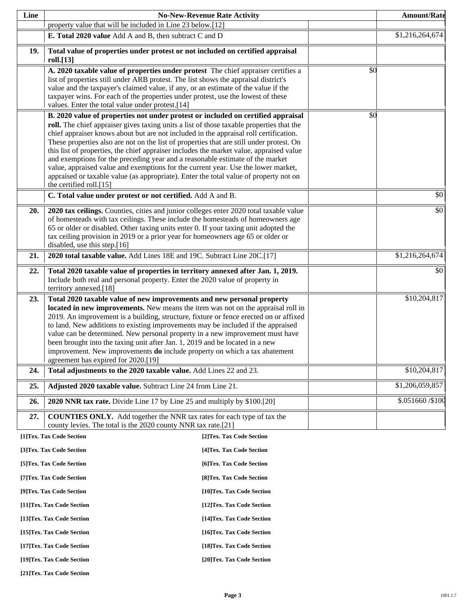| Line |                                                                                                                                                                           | <b>No-New-Revenue Rate Activity</b> |     | <b>Amount/Rate</b> |
|------|---------------------------------------------------------------------------------------------------------------------------------------------------------------------------|-------------------------------------|-----|--------------------|
|      | property value that will be included in Line 23 below.[12]                                                                                                                |                                     |     |                    |
|      | E. Total 2020 value Add A and B, then subtract C and D                                                                                                                    |                                     |     | \$1,216,264,674    |
| 19.  | Total value of properties under protest or not included on certified appraisal                                                                                            |                                     |     |                    |
|      | roll.[13]                                                                                                                                                                 |                                     |     |                    |
|      | A. 2020 taxable value of properties under protest The chief appraiser certifies a                                                                                         |                                     | \$0 |                    |
|      | list of properties still under ARB protest. The list shows the appraisal district's<br>value and the taxpayer's claimed value, if any, or an estimate of the value if the |                                     |     |                    |
|      | taxpayer wins. For each of the properties under protest, use the lowest of these                                                                                          |                                     |     |                    |
|      | values. Enter the total value under protest.[14]                                                                                                                          |                                     |     |                    |
|      | B. 2020 value of properties not under protest or included on certified appraisal                                                                                          |                                     | \$0 |                    |
|      | roll. The chief appraiser gives taxing units a list of those taxable properties that the                                                                                  |                                     |     |                    |
|      | chief appraiser knows about but are not included in the appraisal roll certification.                                                                                     |                                     |     |                    |
|      | These properties also are not on the list of properties that are still under protest. On                                                                                  |                                     |     |                    |
|      | this list of properties, the chief appraiser includes the market value, appraised value<br>and exemptions for the preceding year and a reasonable estimate of the market  |                                     |     |                    |
|      | value, appraised value and exemptions for the current year. Use the lower market,                                                                                         |                                     |     |                    |
|      | appraised or taxable value (as appropriate). Enter the total value of property not on                                                                                     |                                     |     |                    |
|      | the certified roll.[15]                                                                                                                                                   |                                     |     |                    |
|      | C. Total value under protest or not certified. Add A and B.                                                                                                               |                                     |     | \$0                |
| 20.  | 2020 tax ceilings. Counties, cities and junior colleges enter 2020 total taxable value                                                                                    |                                     |     | \$0                |
|      | of homesteads with tax ceilings. These include the homesteads of homeowners age                                                                                           |                                     |     |                    |
|      | 65 or older or disabled. Other taxing units enter 0. If your taxing unit adopted the                                                                                      |                                     |     |                    |
|      | tax ceiling provision in 2019 or a prior year for homeowners age 65 or older or<br>disabled, use this step.[16]                                                           |                                     |     |                    |
| 21.  | 2020 total taxable value. Add Lines 18E and 19C. Subtract Line 20C.[17]                                                                                                   |                                     |     | \$1,216,264,674    |
|      |                                                                                                                                                                           |                                     |     |                    |
| 22.  | Total 2020 taxable value of properties in territory annexed after Jan. 1, 2019.<br>Include both real and personal property. Enter the 2020 value of property in           |                                     |     | \$0                |
|      | territory annexed.[18]                                                                                                                                                    |                                     |     |                    |
| 23.  | Total 2020 taxable value of new improvements and new personal property                                                                                                    |                                     |     | \$10,204,817       |
|      | located in new improvements. New means the item was not on the appraisal roll in                                                                                          |                                     |     |                    |
|      | 2019. An improvement is a building, structure, fixture or fence erected on or affixed                                                                                     |                                     |     |                    |
|      | to land. New additions to existing improvements may be included if the appraised                                                                                          |                                     |     |                    |
|      | value can be determined. New personal property in a new improvement must have<br>been brought into the taxing unit after Jan. 1, 2019 and be located in a new             |                                     |     |                    |
|      | improvement. New improvements <b>do</b> include property on which a tax abatement                                                                                         |                                     |     |                    |
|      | agreement has expired for 2020.[19]                                                                                                                                       |                                     |     |                    |
| 24.  | Total adjustments to the 2020 taxable value. Add Lines 22 and 23.                                                                                                         |                                     |     | \$10,204,817       |
| 25.  | Adjusted 2020 taxable value. Subtract Line 24 from Line 21.                                                                                                               |                                     |     | \$1,206,059,857    |
| 26.  | 2020 NNR tax rate. Divide Line 17 by Line 25 and multiply by \$100.[20]                                                                                                   |                                     |     | \$.051660 /\$100   |
| 27.  | <b>COUNTIES ONLY.</b> Add together the NNR tax rates for each type of tax the                                                                                             |                                     |     |                    |
|      | county levies. The total is the 2020 county NNR tax rate.[21]                                                                                                             |                                     |     |                    |
|      | [1]Tex. Tax Code Section                                                                                                                                                  | [2] Tex. Tax Code Section           |     |                    |
|      | [3]Tex. Tax Code Section                                                                                                                                                  | [4] Tex. Tax Code Section           |     |                    |
|      | [5] Tex. Tax Code Section                                                                                                                                                 | [6]Tex. Tax Code Section            |     |                    |
|      | [7] Tex. Tax Code Section                                                                                                                                                 | [8] Tex. Tax Code Section           |     |                    |
|      | [9]Tex. Tax Code Section                                                                                                                                                  | [10]Tex. Tax Code Section           |     |                    |
|      | [11] Tex. Tax Code Section                                                                                                                                                | [12] Tex. Tax Code Section          |     |                    |
|      | [13] Tex. Tax Code Section                                                                                                                                                | [14] Tex. Tax Code Section          |     |                    |
|      | [15] Tex. Tax Code Section                                                                                                                                                | [16] Tex. Tax Code Section          |     |                    |
|      | [17] Tex. Tax Code Section                                                                                                                                                | [18]Tex. Tax Code Section           |     |                    |
|      | [19]Tex. Tax Code Section                                                                                                                                                 | [20]Tex. Tax Code Section           |     |                    |

**[21]Tex. Tax Code Section**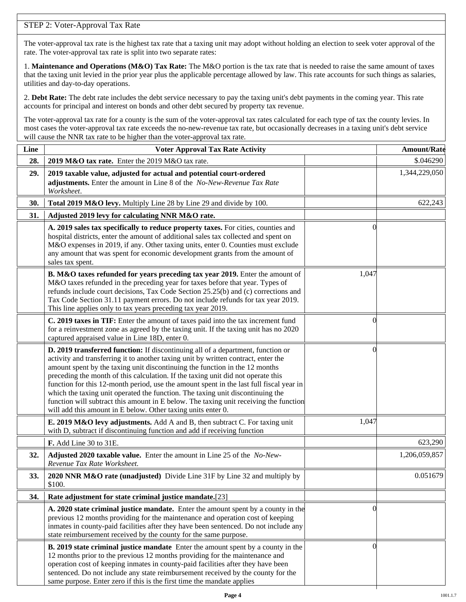# STEP 2: Voter-Approval Tax Rate

The voter-approval tax rate is the highest tax rate that a taxing unit may adopt without holding an election to seek voter approval of the rate. The voter-approval tax rate is split into two separate rates:

1. **Maintenance and Operations (M&O) Tax Rate:** The M&O portion is the tax rate that is needed to raise the same amount of taxes that the taxing unit levied in the prior year plus the applicable percentage allowed by law. This rate accounts for such things as salaries, utilities and day-to-day operations.

2. **Debt Rate:** The debt rate includes the debt service necessary to pay the taxing unit's debt payments in the coming year. This rate accounts for principal and interest on bonds and other debt secured by property tax revenue.

The voter-approval tax rate for a county is the sum of the voter-approval tax rates calculated for each type of tax the county levies. In most cases the voter-approval tax rate exceeds the no-new-revenue tax rate, but occasionally decreases in a taxing unit's debt service will cause the NNR tax rate to be higher than the voter-approval tax rate.

| Line | <b>Voter Approval Tax Rate Activity</b>                                                                                                                                                                                                                                                                                                                                                                                                                                                                                                                                                                                                                                        |          | <b>Amount/Rate</b> |
|------|--------------------------------------------------------------------------------------------------------------------------------------------------------------------------------------------------------------------------------------------------------------------------------------------------------------------------------------------------------------------------------------------------------------------------------------------------------------------------------------------------------------------------------------------------------------------------------------------------------------------------------------------------------------------------------|----------|--------------------|
| 28.  | 2019 M&O tax rate. Enter the 2019 M&O tax rate.                                                                                                                                                                                                                                                                                                                                                                                                                                                                                                                                                                                                                                |          | \$.046290          |
| 29.  | 2019 taxable value, adjusted for actual and potential court-ordered<br>adjustments. Enter the amount in Line 8 of the No-New-Revenue Tax Rate<br>Worksheet.                                                                                                                                                                                                                                                                                                                                                                                                                                                                                                                    |          | 1,344,229,050      |
| 30.  | Total 2019 M&O levy. Multiply Line 28 by Line 29 and divide by 100.                                                                                                                                                                                                                                                                                                                                                                                                                                                                                                                                                                                                            |          | 622,243            |
| 31.  | Adjusted 2019 levy for calculating NNR M&O rate.                                                                                                                                                                                                                                                                                                                                                                                                                                                                                                                                                                                                                               |          |                    |
|      | A. 2019 sales tax specifically to reduce property taxes. For cities, counties and<br>hospital districts, enter the amount of additional sales tax collected and spent on<br>M&O expenses in 2019, if any. Other taxing units, enter 0. Counties must exclude<br>any amount that was spent for economic development grants from the amount of<br>sales tax spent.                                                                                                                                                                                                                                                                                                               | $\left($ |                    |
|      | B. M&O taxes refunded for years preceding tax year 2019. Enter the amount of<br>M&O taxes refunded in the preceding year for taxes before that year. Types of<br>refunds include court decisions, Tax Code Section 25.25(b) and (c) corrections and<br>Tax Code Section 31.11 payment errors. Do not include refunds for tax year 2019.<br>This line applies only to tax years preceding tax year 2019.                                                                                                                                                                                                                                                                        | 1,047    |                    |
|      | C. 2019 taxes in TIF: Enter the amount of taxes paid into the tax increment fund<br>for a reinvestment zone as agreed by the taxing unit. If the taxing unit has no 2020<br>captured appraised value in Line 18D, enter 0.                                                                                                                                                                                                                                                                                                                                                                                                                                                     | 0        |                    |
|      | D. 2019 transferred function: If discontinuing all of a department, function or<br>activity and transferring it to another taxing unit by written contract, enter the<br>amount spent by the taxing unit discontinuing the function in the 12 months<br>preceding the month of this calculation. If the taxing unit did not operate this<br>function for this 12-month period, use the amount spent in the last full fiscal year in<br>which the taxing unit operated the function. The taxing unit discontinuing the<br>function will subtract this amount in E below. The taxing unit receiving the function<br>will add this amount in E below. Other taxing units enter 0. | $\Omega$ |                    |
|      | E. 2019 M&O levy adjustments. Add A and B, then subtract C. For taxing unit<br>with D, subtract if discontinuing function and add if receiving function                                                                                                                                                                                                                                                                                                                                                                                                                                                                                                                        | 1,047    |                    |
|      | F. Add Line 30 to 31E.                                                                                                                                                                                                                                                                                                                                                                                                                                                                                                                                                                                                                                                         |          | 623,290            |
| 32.  | Adjusted 2020 taxable value. Enter the amount in Line 25 of the No-New-<br>Revenue Tax Rate Worksheet.                                                                                                                                                                                                                                                                                                                                                                                                                                                                                                                                                                         |          | 1,206,059,857      |
| 33.  | 2020 NNR M&O rate (unadjusted) Divide Line 31F by Line 32 and multiply by<br>\$100.                                                                                                                                                                                                                                                                                                                                                                                                                                                                                                                                                                                            |          | 0.051679           |
| 34.  | Rate adjustment for state criminal justice mandate.[23]                                                                                                                                                                                                                                                                                                                                                                                                                                                                                                                                                                                                                        |          |                    |
|      | A. 2020 state criminal justice mandate. Enter the amount spent by a county in the<br>previous 12 months providing for the maintenance and operation cost of keeping<br>inmates in county-paid facilities after they have been sentenced. Do not include any<br>state reimbursement received by the county for the same purpose.                                                                                                                                                                                                                                                                                                                                                | 0        |                    |
|      | <b>B.</b> 2019 state criminal justice mandate Enter the amount spent by a county in the<br>12 months prior to the previous 12 months providing for the maintenance and<br>operation cost of keeping inmates in county-paid facilities after they have been<br>sentenced. Do not include any state reimbursement received by the county for the<br>same purpose. Enter zero if this is the first time the mandate applies                                                                                                                                                                                                                                                       | $\left($ |                    |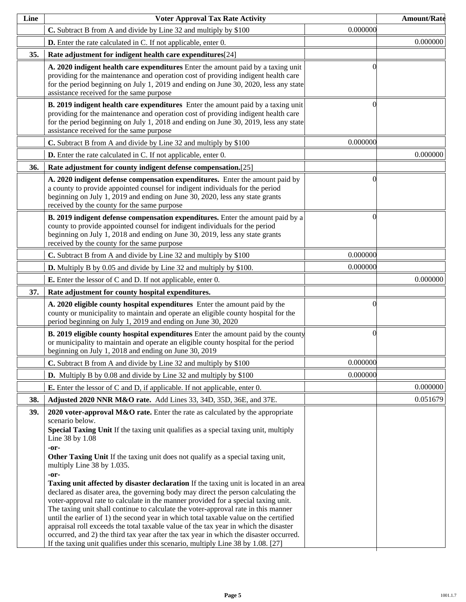| Line | <b>Voter Approval Tax Rate Activity</b>                                                                                                                                                                                                                                                                                                                                                                                                                                                                                                                                                                                                                                                                                                                                                                                                                                                                                                                                                                                                                                        |          | <b>Amount/Rate</b> |
|------|--------------------------------------------------------------------------------------------------------------------------------------------------------------------------------------------------------------------------------------------------------------------------------------------------------------------------------------------------------------------------------------------------------------------------------------------------------------------------------------------------------------------------------------------------------------------------------------------------------------------------------------------------------------------------------------------------------------------------------------------------------------------------------------------------------------------------------------------------------------------------------------------------------------------------------------------------------------------------------------------------------------------------------------------------------------------------------|----------|--------------------|
|      | C. Subtract B from A and divide by Line 32 and multiply by \$100                                                                                                                                                                                                                                                                                                                                                                                                                                                                                                                                                                                                                                                                                                                                                                                                                                                                                                                                                                                                               | 0.000000 |                    |
|      | <b>D.</b> Enter the rate calculated in C. If not applicable, enter 0.                                                                                                                                                                                                                                                                                                                                                                                                                                                                                                                                                                                                                                                                                                                                                                                                                                                                                                                                                                                                          |          | 0.000000           |
| 35.  | Rate adjustment for indigent health care expenditures[24]                                                                                                                                                                                                                                                                                                                                                                                                                                                                                                                                                                                                                                                                                                                                                                                                                                                                                                                                                                                                                      |          |                    |
|      | A. 2020 indigent health care expenditures Enter the amount paid by a taxing unit<br>providing for the maintenance and operation cost of providing indigent health care<br>for the period beginning on July 1, 2019 and ending on June 30, 2020, less any state<br>assistance received for the same purpose                                                                                                                                                                                                                                                                                                                                                                                                                                                                                                                                                                                                                                                                                                                                                                     |          |                    |
|      | B. 2019 indigent health care expenditures Enter the amount paid by a taxing unit<br>providing for the maintenance and operation cost of providing indigent health care<br>for the period beginning on July 1, 2018 and ending on June 30, 2019, less any state<br>assistance received for the same purpose                                                                                                                                                                                                                                                                                                                                                                                                                                                                                                                                                                                                                                                                                                                                                                     |          |                    |
|      | C. Subtract B from A and divide by Line 32 and multiply by \$100                                                                                                                                                                                                                                                                                                                                                                                                                                                                                                                                                                                                                                                                                                                                                                                                                                                                                                                                                                                                               | 0.000000 |                    |
|      | D. Enter the rate calculated in C. If not applicable, enter 0.                                                                                                                                                                                                                                                                                                                                                                                                                                                                                                                                                                                                                                                                                                                                                                                                                                                                                                                                                                                                                 |          | 0.000000           |
| 36.  | Rate adjustment for county indigent defense compensation.[25]                                                                                                                                                                                                                                                                                                                                                                                                                                                                                                                                                                                                                                                                                                                                                                                                                                                                                                                                                                                                                  |          |                    |
|      | A. 2020 indigent defense compensation expenditures. Enter the amount paid by<br>a county to provide appointed counsel for indigent individuals for the period<br>beginning on July 1, 2019 and ending on June 30, 2020, less any state grants<br>received by the county for the same purpose                                                                                                                                                                                                                                                                                                                                                                                                                                                                                                                                                                                                                                                                                                                                                                                   | 0        |                    |
|      | B. 2019 indigent defense compensation expenditures. Enter the amount paid by a<br>county to provide appointed counsel for indigent individuals for the period<br>beginning on July 1, 2018 and ending on June 30, 2019, less any state grants<br>received by the county for the same purpose                                                                                                                                                                                                                                                                                                                                                                                                                                                                                                                                                                                                                                                                                                                                                                                   | 0        |                    |
|      | C. Subtract B from A and divide by Line 32 and multiply by \$100                                                                                                                                                                                                                                                                                                                                                                                                                                                                                                                                                                                                                                                                                                                                                                                                                                                                                                                                                                                                               | 0.000000 |                    |
|      | <b>D.</b> Multiply B by 0.05 and divide by Line 32 and multiply by \$100.                                                                                                                                                                                                                                                                                                                                                                                                                                                                                                                                                                                                                                                                                                                                                                                                                                                                                                                                                                                                      | 0.000000 |                    |
|      | <b>E.</b> Enter the lessor of C and D. If not applicable, enter 0.                                                                                                                                                                                                                                                                                                                                                                                                                                                                                                                                                                                                                                                                                                                                                                                                                                                                                                                                                                                                             |          | 0.000000           |
| 37.  | Rate adjustment for county hospital expenditures.                                                                                                                                                                                                                                                                                                                                                                                                                                                                                                                                                                                                                                                                                                                                                                                                                                                                                                                                                                                                                              |          |                    |
|      | A. 2020 eligible county hospital expenditures Enter the amount paid by the<br>county or municipality to maintain and operate an eligible county hospital for the<br>period beginning on July 1, 2019 and ending on June 30, 2020                                                                                                                                                                                                                                                                                                                                                                                                                                                                                                                                                                                                                                                                                                                                                                                                                                               |          |                    |
|      | <b>B. 2019 eligible county hospital expenditures</b> Enter the amount paid by the county<br>or municipality to maintain and operate an eligible county hospital for the period<br>beginning on July 1, 2018 and ending on June 30, 2019                                                                                                                                                                                                                                                                                                                                                                                                                                                                                                                                                                                                                                                                                                                                                                                                                                        | 0        |                    |
|      | C. Subtract B from A and divide by Line 32 and multiply by \$100                                                                                                                                                                                                                                                                                                                                                                                                                                                                                                                                                                                                                                                                                                                                                                                                                                                                                                                                                                                                               | 0.000000 |                    |
|      | <b>D.</b> Multiply B by 0.08 and divide by Line 32 and multiply by \$100                                                                                                                                                                                                                                                                                                                                                                                                                                                                                                                                                                                                                                                                                                                                                                                                                                                                                                                                                                                                       | 0.000000 |                    |
|      | <b>E.</b> Enter the lessor of C and D, if applicable. If not applicable, enter 0.                                                                                                                                                                                                                                                                                                                                                                                                                                                                                                                                                                                                                                                                                                                                                                                                                                                                                                                                                                                              |          | 0.000000           |
| 38.  | Adjusted 2020 NNR M&O rate. Add Lines 33, 34D, 35D, 36E, and 37E.                                                                                                                                                                                                                                                                                                                                                                                                                                                                                                                                                                                                                                                                                                                                                                                                                                                                                                                                                                                                              |          | 0.051679           |
| 39.  | 2020 voter-approval $M&O$ rate. Enter the rate as calculated by the appropriate<br>scenario below.<br>Special Taxing Unit If the taxing unit qualifies as a special taxing unit, multiply<br>Line 38 by 1.08<br>-or-<br>Other Taxing Unit If the taxing unit does not qualify as a special taxing unit,<br>multiply Line 38 by 1.035.<br>-or-<br><b>Taxing unit affected by disaster declaration</b> If the taxing unit is located in an area<br>declared as disater area, the governing body may direct the person calculating the<br>voter-approval rate to calculate in the manner provided for a special taxing unit.<br>The taxing unit shall continue to calculate the voter-approval rate in this manner<br>until the earlier of 1) the second year in which total taxable value on the certified<br>appraisal roll exceeds the total taxable value of the tax year in which the disaster<br>occurred, and 2) the third tax year after the tax year in which the disaster occurred.<br>If the taxing unit qualifies under this scenario, multiply Line 38 by 1.08. [27] |          |                    |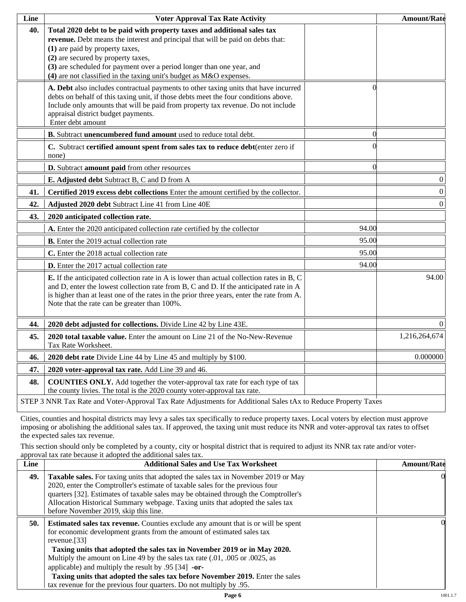| Line | <b>Voter Approval Tax Rate Activity</b>                                                                                                                                                                                                                                                                                                                                             |          | <b>Amount/Rate</b> |
|------|-------------------------------------------------------------------------------------------------------------------------------------------------------------------------------------------------------------------------------------------------------------------------------------------------------------------------------------------------------------------------------------|----------|--------------------|
| 40.  | Total 2020 debt to be paid with property taxes and additional sales tax<br>revenue. Debt means the interest and principal that will be paid on debts that:<br>(1) are paid by property taxes,<br>(2) are secured by property taxes,<br>(3) are scheduled for payment over a period longer than one year, and<br>(4) are not classified in the taxing unit's budget as M&O expenses. |          |                    |
|      | A. Debt also includes contractual payments to other taxing units that have incurred<br>debts on behalf of this taxing unit, if those debts meet the four conditions above.<br>Include only amounts that will be paid from property tax revenue. Do not include<br>appraisal district budget payments.<br>Enter debt amount                                                          | 0        |                    |
|      | B. Subtract unencumbered fund amount used to reduce total debt.                                                                                                                                                                                                                                                                                                                     | $\Omega$ |                    |
|      | C. Subtract certified amount spent from sales tax to reduce debt(enter zero if<br>none)                                                                                                                                                                                                                                                                                             |          |                    |
|      | D. Subtract amount paid from other resources                                                                                                                                                                                                                                                                                                                                        | $\Omega$ |                    |
|      | E. Adjusted debt Subtract B, C and D from A                                                                                                                                                                                                                                                                                                                                         |          | $\boldsymbol{0}$   |
| 41.  | Certified 2019 excess debt collections Enter the amount certified by the collector.                                                                                                                                                                                                                                                                                                 |          | $\boldsymbol{0}$   |
| 42.  | Adjusted 2020 debt Subtract Line 41 from Line 40E                                                                                                                                                                                                                                                                                                                                   |          | $\boldsymbol{0}$   |
| 43.  | 2020 anticipated collection rate.                                                                                                                                                                                                                                                                                                                                                   |          |                    |
|      | A. Enter the 2020 anticipated collection rate certified by the collector                                                                                                                                                                                                                                                                                                            | 94.00    |                    |
|      | <b>B.</b> Enter the 2019 actual collection rate                                                                                                                                                                                                                                                                                                                                     | 95.00    |                    |
|      | C. Enter the 2018 actual collection rate                                                                                                                                                                                                                                                                                                                                            | 95.00    |                    |
|      | D. Enter the 2017 actual collection rate                                                                                                                                                                                                                                                                                                                                            | 94.00    |                    |
|      | <b>E.</b> If the anticipated collection rate in A is lower than actual collection rates in B, C<br>and D, enter the lowest collection rate from B, C and D. If the anticipated rate in A<br>is higher than at least one of the rates in the prior three years, enter the rate from A.<br>Note that the rate can be greater than 100%.                                               |          | 94.00              |
| 44.  | 2020 debt adjusted for collections. Divide Line 42 by Line 43E.                                                                                                                                                                                                                                                                                                                     |          | $\Omega$           |
| 45.  | 2020 total taxable value. Enter the amount on Line 21 of the No-New-Revenue<br>Tax Rate Worksheet.                                                                                                                                                                                                                                                                                  |          | 1,216,264,674      |
| 46.  | 2020 debt rate Divide Line 44 by Line 45 and multiply by \$100.                                                                                                                                                                                                                                                                                                                     |          | 0.000000           |
| 47.  | 2020 voter-approval tax rate. Add Line 39 and 46.                                                                                                                                                                                                                                                                                                                                   |          |                    |
| 48.  | <b>COUNTIES ONLY.</b> Add together the voter-approval tax rate for each type of tax<br>the county livies. The total is the 2020 county voter-approval tax rate.                                                                                                                                                                                                                     |          |                    |
|      | STEP 3 NNR Tax Rate and Voter-Approval Tax Rate Adjustments for Additional Sales tAx to Reduce Property Taxes                                                                                                                                                                                                                                                                       |          |                    |

Cities, counties and hospital districts may levy a sales tax specifically to reduce property taxes. Local voters by election must approve imposing or abolishing the additional sales tax. If approved, the taxing unit must reduce its NNR and voter-approval tax rates to offset the expected sales tax revenue.

This section should only be completed by a county, city or hospital district that is required to adjust its NNR tax rate and/or voterapproval tax rate because it adopted the additional sales tax.

| <b>Additional Sales and Use Tax Worksheet</b>                                                                                                                                                                                                                                                                                                                                                                                                                                                | <b>Amount/Rate</b>                                                  |
|----------------------------------------------------------------------------------------------------------------------------------------------------------------------------------------------------------------------------------------------------------------------------------------------------------------------------------------------------------------------------------------------------------------------------------------------------------------------------------------------|---------------------------------------------------------------------|
| Taxable sales. For taxing units that adopted the sales tax in November 2019 or May<br>2020, enter the Comptroller's estimate of taxable sales for the previous four<br>quarters [32]. Estimates of taxable sales may be obtained through the Comptroller's<br>Allocation Historical Summary webpage. Taxing units that adopted the sales tax<br>before November 2019, skip this line.                                                                                                        | $\Omega$                                                            |
| <b>Estimated sales tax revenue.</b> Counties exclude any amount that is or will be spent<br>for economic development grants from the amount of estimated sales tax<br>revenue. $[33]$<br>Taxing units that adopted the sales tax in November 2019 or in May 2020.<br>Multiply the amount on Line 49 by the sales tax rate (.01, .005 or .0025, as<br>applicable) and multiply the result by $.95$ [34] -or-<br>Taxing units that adopted the sales tax before November 2019. Enter the sales | OI.                                                                 |
|                                                                                                                                                                                                                                                                                                                                                                                                                                                                                              | tax revenue for the previous four quarters. Do not multiply by .95. |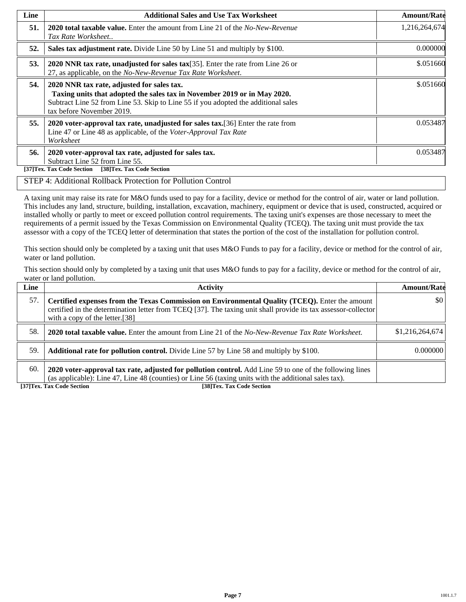| Line | <b>Additional Sales and Use Tax Worksheet</b>                                                                                                                                                                                             | <b>Amount/Rate</b> |
|------|-------------------------------------------------------------------------------------------------------------------------------------------------------------------------------------------------------------------------------------------|--------------------|
| 51.  | <b>2020 total taxable value.</b> Enter the amount from Line 21 of the <i>No-New-Revenue</i><br>Tax Rate Worksheet                                                                                                                         | 1,216,264,674      |
| 52.  | Sales tax adjustment rate. Divide Line 50 by Line 51 and multiply by \$100.                                                                                                                                                               | 0.000000           |
| 53.  | 2020 NNR tax rate, unadjusted for sales tax $[35]$ . Enter the rate from Line 26 or<br>27, as applicable, on the No-New-Revenue Tax Rate Worksheet.                                                                                       | \$.051660          |
| 54.  | 2020 NNR tax rate, adjusted for sales tax.<br>Taxing units that adopted the sales tax in November 2019 or in May 2020.<br>Subtract Line 52 from Line 53. Skip to Line 55 if you adopted the additional sales<br>tax before November 2019. | \$.051660          |
| 55.  | 2020 voter-approval tax rate, unadjusted for sales tax. [36] Enter the rate from<br>Line 47 or Line 48 as applicable, of the Voter-Approval Tax Rate<br>Worksheet                                                                         | 0.053487           |
| 56.  | 2020 voter-approval tax rate, adjusted for sales tax.<br>Subtract Line 52 from Line 55.<br>[38]Tex. Tax Code Section<br>[37]Tex. Tax Code Section                                                                                         | 0.053487           |

## STEP 4: Additional Rollback Protection for Pollution Control

A taxing unit may raise its rate for M&O funds used to pay for a facility, device or method for the control of air, water or land pollution. This includes any land, structure, building, installation, excavation, machinery, equipment or device that is used, constructed, acquired or installed wholly or partly to meet or exceed pollution control requirements. The taxing unit's expenses are those necessary to meet the requirements of a permit issued by the Texas Commission on Environmental Quality (TCEQ). The taxing unit must provide the tax assessor with a copy of the TCEQ letter of determination that states the portion of the cost of the installation for pollution control.

This section should only be completed by a taxing unit that uses M&O Funds to pay for a facility, device or method for the control of air, water or land pollution.

This section should only by completed by a taxing unit that uses M&O funds to pay for a facility, device or method for the control of air, water or land pollution.

| Line | <b>Activity</b>                                                                                                                                                                                                                                    | <b>Amount/Rate</b>      |
|------|----------------------------------------------------------------------------------------------------------------------------------------------------------------------------------------------------------------------------------------------------|-------------------------|
| 57.  | Certified expenses from the Texas Commission on Environmental Quality (TCEQ). Enter the amount<br>certified in the determination letter from TCEQ [37]. The taxing unit shall provide its tax assessor-collector<br>with a copy of the letter.[38] | $\vert \$\text{0}\vert$ |
| 58.  | <b>2020 total taxable value.</b> Enter the amount from Line 21 of the No-New-Revenue Tax Rate Worksheet.                                                                                                                                           | \$1,216,264,674         |
| 59.  | <b>Additional rate for pollution control.</b> Divide Line 57 by Line 58 and multiply by \$100.                                                                                                                                                     | 0.000000                |
| 60.  | 2020 voter-approval tax rate, adjusted for pollution control. Add Line 59 to one of the following lines<br>(as applicable): Line 47, Line 48 (counties) or Line 56 (taxing units with the additional sales tax).                                   |                         |

**[37]Tex. Tax Code Section [38]Tex. Tax Code Section**